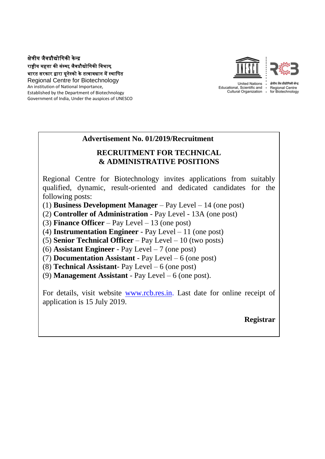## क्षेत्रीय जैवप्रौद्योगिकी के न्द्र राष्ट्रीय महत्ता की संस्था, जैवप्रौद्योगिकी विभाग, भारत सरकार द्वारा यूनेस्को के तत्वावधान में स्थागित

Regional Centre for Biotechnology An institution of National Importance, Established by the Department of Biotechnology Government of India, Under the auspices of UNESCO



## **Advertisement No. 01/2019/Recruitment**

# **RECRUITMENT FOR TECHNICAL & ADMINISTRATIVE POSITIONS**

Regional Centre for Biotechnology invites applications from suitably qualified, dynamic, result-oriented and dedicated candidates for the following posts:

(1) **Business Development Manager** – Pay Level – 14 (one post)

(2) **Controller of Administration** - Pay Level - 13A (one post)

(3) **Finance Officer** – Pay Level – 13 (one post)

(4) **Instrumentation Engineer** - Pay Level – 11 (one post)

(5) **Senior Technical Officer** – Pay Level – 10 (two posts)

(6) **Assistant Engineer** - Pay Level – 7 (one post)

(7) **Documentation Assistant** - Pay Level – 6 (one post)

(8) **Technical Assistant**- Pay Level – 6 (one post)

(9) **Management Assistant** - Pay Level – 6 (one post).

For details, visit website [www.rcb.res.in.](http://www.rcb.res.in/) Last date for online receipt of application is 15 July 2019.

**Registrar**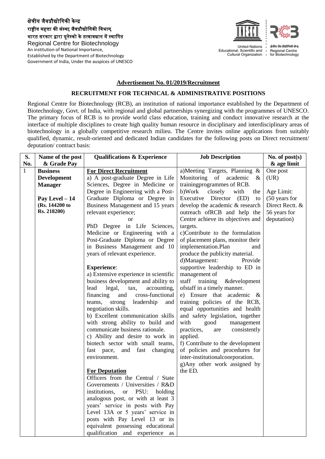### क्षेत्रीय जैवप्रौद्योगिकी के न्द्र राष्ट्रीय महत्ता की संस्था, जैवप्रौद्योगिकी विभाग, भारत सरकार द्वारा यूनेस्को के तत्वावधान में स्थागित Regional Centre for Biotechnology An institution of National Importance,

Established by the Department of Biotechnology Government of India, Under the auspices of UNESCO



Educational, Scientific and Cultural Organization .

क्षेत्रीय जैव प्रौद्योगिकी केन्द Regional Centre<br>for Biotechnology

#### **Advertisement No. 01/2019/Recruitment**

### **RECRUITMENT FOR TECHNICAL & ADMINISTRATIVE POSITIONS**

Regional Centre for Biotechnology (RCB), an institution of national importance established by the Department of Biotechnology, Govt. of India, with regional and global partnerships synergizing with the programmes of UNESCO. The primary focus of RCB is to provide world class education, training and conduct innovative research at the interface of multiple disciplines to create high quality human resource in disciplinary and interdisciplinary areas of biotechnology in a globally competitive research milieu. The Centre invites online applications from suitably qualified, dynamic, result-oriented and dedicated Indian candidates for the following posts on Direct recruitment/ deputation/ contract basis:

| S.           | Name of the post   | <b>Qualifications &amp; Experience</b> | <b>Job Description</b>            | No. of $post(s)$ |
|--------------|--------------------|----------------------------------------|-----------------------------------|------------------|
| No.          | & Grade Pay        |                                        |                                   | & age limit      |
| $\mathbf{1}$ | <b>Business</b>    | <b>For Direct Recruitment</b>          | a)Meeting Targets, Planning &     | One post         |
|              | <b>Development</b> | a) A post-graduate Degree in Life      | Monitoring<br>of academic<br>$\&$ | (UR)             |
|              | <b>Manager</b>     | Sciences, Degree in Medicine or        | trainingprogrammes of RCB.        |                  |
|              |                    | Degree in Engineering with a Post-     | closely<br>b)Work<br>with<br>the  | Age Limit:       |
|              | Pay Level $-14$    | Graduate Diploma or Degree in          | Executive Director (ED)<br>to     | (50 years for    |
|              | (Rs. 144200 to     | Business Management and 15 years       | develop the academic & research   | Direct Rectt. &  |
|              | Rs. 218200)        | relevant experience;                   | outreach ofRCB and help the       | 56 years for     |
|              |                    | <b>or</b>                              | Centre achieve its objectives and | deputation)      |
|              |                    | PhD Degree in Life Sciences,           | targets.                          |                  |
|              |                    | Medicine or Engineering with a         | c)Contribute to the formulation   |                  |
|              |                    | Post-Graduate Diploma or Degree        | of placement plans, monitor their |                  |
|              |                    | in Business Management and 10          | implementation.Plan<br>and        |                  |
|              |                    | years of relevant experience.          | produce the publicity material.   |                  |
|              |                    |                                        | d)Management:<br>Provide          |                  |
|              |                    | <b>Experience:</b>                     | supportive leadership to ED in    |                  |
|              |                    | a) Extensive experience in scientific  | management of                     |                  |
|              |                    | business development and ability to    | staff training<br>&development    |                  |
|              |                    | accounting,<br>lead<br>legal,<br>tax,  | ofstaff in a timely manner.       |                  |
|              |                    | financing<br>cross-functional<br>and   | e) Ensure that academic $\&$      |                  |
|              |                    | teams, strong<br>leadership<br>and     | training policies of the RCB,     |                  |
|              |                    | negotiation skills.                    | equal opportunities and health    |                  |
|              |                    | b) Excellent communication skills      | and safety legislation, together  |                  |
|              |                    | with strong ability to build and       | with<br>good<br>management        |                  |
|              |                    | communicate business rationale.        | practices,<br>consistently<br>are |                  |
|              |                    | c) Ability and desire to work in       | applied.                          |                  |
|              |                    | biotech sector with small teams,       | f) Contribute to the development  |                  |
|              |                    | fast pace,<br>and fast changing        | of policies and procedures for    |                  |
|              |                    | environment.                           | inter-institutionalcoorporation.  |                  |
|              |                    |                                        | g)Any other work assigned by      |                  |
|              |                    | <b>For Deputation</b>                  | the ED.                           |                  |
|              |                    | Officers from the Central / State      |                                   |                  |
|              |                    | Governments / Universities / R&D       |                                   |                  |
|              |                    | institutions,<br>or PSU:<br>holding    |                                   |                  |
|              |                    | analogous post, or with at least 3     |                                   |                  |
|              |                    | years' service in posts with Pay       |                                   |                  |
|              |                    | Level 13A or 5 years' service in       |                                   |                  |
|              |                    | posts with Pay Level 13 or its         |                                   |                  |
|              |                    | equivalent possessing educational      |                                   |                  |
|              |                    | qualification and experience as        |                                   |                  |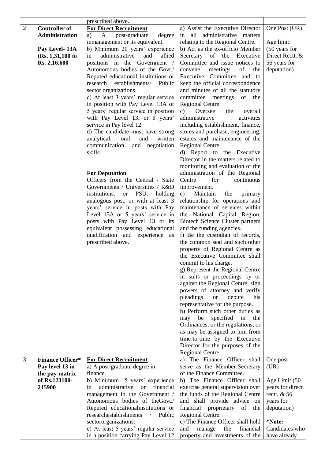|                |                                            | prescribed above.                                              |                                                               |                  |
|----------------|--------------------------------------------|----------------------------------------------------------------|---------------------------------------------------------------|------------------|
| $\overline{2}$ | <b>Controller of</b>                       | <b>For Direct Recruitment</b>                                  | a) Assist the Executive Director                              | One Post (UR)    |
|                | <b>Administration</b>                      | post-graduate<br>$\mathbf{A}$<br>degree<br>a)                  | in all administrative matters                                 |                  |
|                |                                            | inmanagement or its equivalent.                                | relating to the Regional Centre.                              | Age limit:       |
|                | Pay Level-13A                              | b) Minimum 20 years' experience                                | b) Act as the ex-officio Member                               | (50 years for    |
|                | (Rs. 1, 31, 100 to                         | administrative<br>in<br>and<br>allied                          | Secretary of the Executive                                    | Direct Rectt. &  |
|                | Rs. 2,16,600                               | positions in the Government /                                  | Committee and issue notices to                                | 56 years for     |
|                |                                            | Autonomous bodies of the Govt./                                | of<br>convene<br>meetings<br>the                              | deputation)      |
|                |                                            | Reputed educational institutions or                            | Executive Committee and to                                    |                  |
|                |                                            | establishments/<br>research<br>Public                          | keep the official correspondence                              |                  |
|                |                                            | sector organizations.                                          | and minutes of all the statutory                              |                  |
|                |                                            | c) At least 3 years' regular service                           | committee meetings<br>of the                                  |                  |
|                |                                            | in position with Pay Level 13A or                              | Regional Centre.                                              |                  |
|                |                                            | 5 years' regular service in position                           | Oversee<br>c)<br>the<br>overall                               |                  |
|                |                                            | with Pay Level 13, or 8 years'                                 | administrative<br>activities                                  |                  |
|                |                                            | service in Pay level 12.                                       | including establishment, finance,                             |                  |
|                |                                            | d) The candidate must have strong                              | stores and purchase, engineering,                             |                  |
|                |                                            | oral<br>and<br>written<br>analytical,                          | estates and maintenance of the                                |                  |
|                |                                            | communication, and negotiation                                 | Regional Centre.                                              |                  |
|                |                                            | skills.                                                        | d) Report to the Executive                                    |                  |
|                |                                            |                                                                | Director in the matters related to                            |                  |
|                |                                            |                                                                | monitoring and evaluation of the                              |                  |
|                |                                            | <b>For Deputation</b>                                          | administration of the Regional                                |                  |
|                |                                            | Officers from the Central / State                              | for<br>continuous<br>Centre                                   |                  |
|                |                                            | Governments / Universities / R&D                               | improvement.                                                  |                  |
|                |                                            | or PSU: holding<br>institutions,                               | Maintain<br>the<br>primary<br>e)                              |                  |
|                |                                            | analogous post, or with at least 3                             | relationship for operations and                               |                  |
|                |                                            | years' service in posts with Pay                               | maintenance of services within                                |                  |
|                |                                            | Level 13A or 5 years' service in                               | the National Capital Region,                                  |                  |
|                |                                            | posts with Pay Level 13 or its                                 | <b>Biotech Science Cluster partners</b>                       |                  |
|                |                                            | equivalent possessing educational                              | and the funding agencies.                                     |                  |
|                |                                            | qualification and experience as                                | f) Be the custodian of records,                               |                  |
|                |                                            | prescribed above.                                              | the common seal and such other                                |                  |
|                |                                            |                                                                | property of Regional Centre as                                |                  |
|                |                                            |                                                                | the Executive Committee shall                                 |                  |
|                |                                            |                                                                | commit to his charge.                                         |                  |
|                |                                            |                                                                | g) Represent the Regional Centre                              |                  |
|                |                                            |                                                                | in suits or proceedings by or                                 |                  |
|                |                                            |                                                                | against the Regional Centre, sign                             |                  |
|                |                                            |                                                                | powers of attorney and verify                                 |                  |
|                |                                            |                                                                | pleadings<br>depute<br><b>or</b><br>his                       |                  |
|                |                                            |                                                                | representative for the purpose.                               |                  |
|                |                                            |                                                                | h) Perform such other duties as                               |                  |
|                |                                            |                                                                | may be<br>specified<br>in<br>the                              |                  |
|                |                                            |                                                                | Ordinances, or the regulations, or                            |                  |
|                |                                            |                                                                | as may be assigned to him from                                |                  |
|                |                                            |                                                                | time-to-time by the Executive                                 |                  |
|                |                                            |                                                                | Director for the purposes of the                              |                  |
|                |                                            |                                                                | Regional Centre.                                              |                  |
| 3              | <b>Finance Officer*</b><br>Pay level 13 in | <b>For Direct Recruitment:</b><br>a) A post-graduate degree in | a) The Finance Officer shall<br>serve as the Member-Secretary | One post<br>(UR) |
|                |                                            | finance.                                                       | of the Finance Committee.                                     |                  |
|                | the pay-matrix<br>of Rs.123100-            | b) Minimum 15 years' experience                                | b) The Finance Officer shall                                  | Age Limit (50    |
|                | 215900                                     | administrative<br>financial<br>in<br><sub>or</sub>             | exercise general supervision over                             | years for direct |
|                |                                            | management in the Government /                                 | the funds of the Regional Centre                              | rectt. & 56      |
|                |                                            | Autonomous bodies of theGovt./                                 | and shall provide advice<br>on                                | years for        |
|                |                                            | Reputed educational<br>institutions or                         | financial<br>proprietary<br>of<br>the                         | deputation)      |
|                |                                            | researchestablishments<br>$\sqrt{2}$<br>Public                 | Regional Centre.                                              |                  |
|                |                                            | sectororganizations.                                           | c) The Finance Officer shall hold                             | *Note:           |
|                |                                            | c) At least 5 years' regular service                           | and<br>the<br>financial<br>manage                             | Candidates who   |
|                |                                            | in a position carrying Pay Level 12                            | property and investments of the                               | have already     |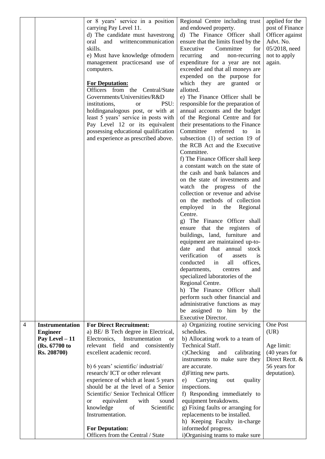| or 8 years' service in a position<br>Regional Centre including trust<br>carrying Pay Level 11.<br>and endowed property.<br>d) The Finance Officer shall<br>d) The candidate must have strong<br>writtencommunication<br>and<br>ensure that the limits fixed by the<br>oral<br>skills.<br>Executive<br>Committee<br>for<br>e) Must have knowledge ofmodern<br>recurring<br>and<br>non-recurring<br>expenditure for a year are not<br>management practices and use of<br>exceeded and that all moneys are<br>computers.<br>expended on the purpose for<br>which they are granted or<br><b>For Deputation:</b><br>Officers from the Central/State<br>allotted.<br>Governments/Universities/R&D<br>e) The Finance Officer shall be<br>PSU:<br>institutions,<br>responsible for the preparation of<br><sub>or</sub><br>holdinganalogous post, or with at<br>annual accounts and the budget<br>least 5 years' service in posts with<br>of the Regional Centre and for<br>Pay Level 12 or its equivalent<br>their presentations to the Finance<br>possessing educational qualification<br>Committee<br>referred<br>to<br>in<br>and experience as prescribed above.<br>subsection (1) of section 19 of<br>the RCB Act and the Executive<br>Committee.<br>f) The Finance Officer shall keep<br>a constant watch on the state of<br>the cash and bank balances and<br>on the state of investments and<br>watch the progress of the<br>collection or revenue and advise<br>on the methods of collection<br>employed in the Regional<br>Centre.<br>g) The Finance Officer shall<br>ensure that the registers of<br>buildings, land, furniture and<br>equipment are maintained up-to-<br>date and that annual stock<br>verification<br>of<br>assets<br><i>is</i><br>conducted<br>all<br>offices,<br>in<br>departments,<br>centres<br>and<br>specialized laboratories of the<br>Regional Centre.<br>h) The Finance Officer shall<br>perform such other financial and | applied for the<br>post of Finance<br>Officer against<br>Advt. No.<br>05/2018, need<br>not to apply<br>again. |
|--------------------------------------------------------------------------------------------------------------------------------------------------------------------------------------------------------------------------------------------------------------------------------------------------------------------------------------------------------------------------------------------------------------------------------------------------------------------------------------------------------------------------------------------------------------------------------------------------------------------------------------------------------------------------------------------------------------------------------------------------------------------------------------------------------------------------------------------------------------------------------------------------------------------------------------------------------------------------------------------------------------------------------------------------------------------------------------------------------------------------------------------------------------------------------------------------------------------------------------------------------------------------------------------------------------------------------------------------------------------------------------------------------------------------------------------------------------------------------------------------------------------------------------------------------------------------------------------------------------------------------------------------------------------------------------------------------------------------------------------------------------------------------------------------------------------------------------------------------------------------------------------------------------------------------------------------------|---------------------------------------------------------------------------------------------------------------|
| administrative functions as may<br>be assigned to him by the                                                                                                                                                                                                                                                                                                                                                                                                                                                                                                                                                                                                                                                                                                                                                                                                                                                                                                                                                                                                                                                                                                                                                                                                                                                                                                                                                                                                                                                                                                                                                                                                                                                                                                                                                                                                                                                                                           |                                                                                                               |
| Executive Director.                                                                                                                                                                                                                                                                                                                                                                                                                                                                                                                                                                                                                                                                                                                                                                                                                                                                                                                                                                                                                                                                                                                                                                                                                                                                                                                                                                                                                                                                                                                                                                                                                                                                                                                                                                                                                                                                                                                                    |                                                                                                               |
| a) Organizing routine servicing<br>$\overline{4}$<br><b>Instrumentation</b><br><b>For Direct Recruitment:</b><br>a) BE/ B Tech degree in Electrical,<br>schedules.<br><b>Engineer</b>                                                                                                                                                                                                                                                                                                                                                                                                                                                                                                                                                                                                                                                                                                                                                                                                                                                                                                                                                                                                                                                                                                                                                                                                                                                                                                                                                                                                                                                                                                                                                                                                                                                                                                                                                                  | One Post<br>(UR)                                                                                              |
| b) Allocating work to a team of<br>Electronics,<br>Instrumentation<br>Pay Level $-11$<br><sub>or</sub>                                                                                                                                                                                                                                                                                                                                                                                                                                                                                                                                                                                                                                                                                                                                                                                                                                                                                                                                                                                                                                                                                                                                                                                                                                                                                                                                                                                                                                                                                                                                                                                                                                                                                                                                                                                                                                                 |                                                                                                               |
| relevant field<br>and consistently<br><b>Technical Staff.</b><br>(Rs. 67700 to                                                                                                                                                                                                                                                                                                                                                                                                                                                                                                                                                                                                                                                                                                                                                                                                                                                                                                                                                                                                                                                                                                                                                                                                                                                                                                                                                                                                                                                                                                                                                                                                                                                                                                                                                                                                                                                                         | Age limit:                                                                                                    |
| excellent academic record.<br>c)Checking<br>Rs. 208700)<br>and<br>calibrating                                                                                                                                                                                                                                                                                                                                                                                                                                                                                                                                                                                                                                                                                                                                                                                                                                                                                                                                                                                                                                                                                                                                                                                                                                                                                                                                                                                                                                                                                                                                                                                                                                                                                                                                                                                                                                                                          | (40 years for                                                                                                 |
|                                                                                                                                                                                                                                                                                                                                                                                                                                                                                                                                                                                                                                                                                                                                                                                                                                                                                                                                                                                                                                                                                                                                                                                                                                                                                                                                                                                                                                                                                                                                                                                                                                                                                                                                                                                                                                                                                                                                                        | Direct Rectt. &                                                                                               |
| instruments to make sure they                                                                                                                                                                                                                                                                                                                                                                                                                                                                                                                                                                                                                                                                                                                                                                                                                                                                                                                                                                                                                                                                                                                                                                                                                                                                                                                                                                                                                                                                                                                                                                                                                                                                                                                                                                                                                                                                                                                          |                                                                                                               |
| are accurate.                                                                                                                                                                                                                                                                                                                                                                                                                                                                                                                                                                                                                                                                                                                                                                                                                                                                                                                                                                                                                                                                                                                                                                                                                                                                                                                                                                                                                                                                                                                                                                                                                                                                                                                                                                                                                                                                                                                                          |                                                                                                               |
| b) 6 years' scientific/ industrial/                                                                                                                                                                                                                                                                                                                                                                                                                                                                                                                                                                                                                                                                                                                                                                                                                                                                                                                                                                                                                                                                                                                                                                                                                                                                                                                                                                                                                                                                                                                                                                                                                                                                                                                                                                                                                                                                                                                    | 56 years for                                                                                                  |
| research/ICT or other relevant<br>d) Fitting new parts.                                                                                                                                                                                                                                                                                                                                                                                                                                                                                                                                                                                                                                                                                                                                                                                                                                                                                                                                                                                                                                                                                                                                                                                                                                                                                                                                                                                                                                                                                                                                                                                                                                                                                                                                                                                                                                                                                                | deputation).                                                                                                  |
| experience of which at least 5 years<br>e)<br>Carrying<br>quality<br>out                                                                                                                                                                                                                                                                                                                                                                                                                                                                                                                                                                                                                                                                                                                                                                                                                                                                                                                                                                                                                                                                                                                                                                                                                                                                                                                                                                                                                                                                                                                                                                                                                                                                                                                                                                                                                                                                               |                                                                                                               |
| should be at the level of a Senior<br>inspections.                                                                                                                                                                                                                                                                                                                                                                                                                                                                                                                                                                                                                                                                                                                                                                                                                                                                                                                                                                                                                                                                                                                                                                                                                                                                                                                                                                                                                                                                                                                                                                                                                                                                                                                                                                                                                                                                                                     |                                                                                                               |
| Scientific/ Senior Technical Officer<br>f) Responding immediately to                                                                                                                                                                                                                                                                                                                                                                                                                                                                                                                                                                                                                                                                                                                                                                                                                                                                                                                                                                                                                                                                                                                                                                                                                                                                                                                                                                                                                                                                                                                                                                                                                                                                                                                                                                                                                                                                                   |                                                                                                               |
| equipment breakdowns.<br>equivalent<br>with<br>sound<br>or                                                                                                                                                                                                                                                                                                                                                                                                                                                                                                                                                                                                                                                                                                                                                                                                                                                                                                                                                                                                                                                                                                                                                                                                                                                                                                                                                                                                                                                                                                                                                                                                                                                                                                                                                                                                                                                                                             |                                                                                                               |
| knowledge<br>of<br>Scientific<br>g) Fixing faults or arranging for                                                                                                                                                                                                                                                                                                                                                                                                                                                                                                                                                                                                                                                                                                                                                                                                                                                                                                                                                                                                                                                                                                                                                                                                                                                                                                                                                                                                                                                                                                                                                                                                                                                                                                                                                                                                                                                                                     |                                                                                                               |
| Instrumentation.<br>replacements to be installed.                                                                                                                                                                                                                                                                                                                                                                                                                                                                                                                                                                                                                                                                                                                                                                                                                                                                                                                                                                                                                                                                                                                                                                                                                                                                                                                                                                                                                                                                                                                                                                                                                                                                                                                                                                                                                                                                                                      |                                                                                                               |
| h) Keeping Faculty in-charge<br><b>For Deputation:</b><br>informed of progress.                                                                                                                                                                                                                                                                                                                                                                                                                                                                                                                                                                                                                                                                                                                                                                                                                                                                                                                                                                                                                                                                                                                                                                                                                                                                                                                                                                                                                                                                                                                                                                                                                                                                                                                                                                                                                                                                        |                                                                                                               |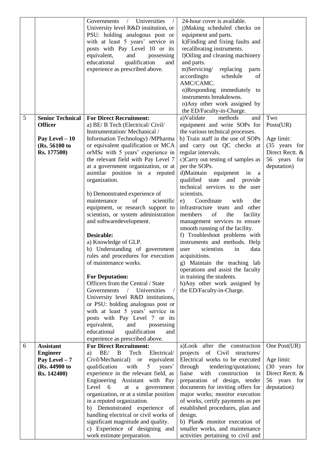|                |                                                                                              | Governments / Universities<br>$\sqrt{2}$<br>University level R&D institution, or<br>PSU: holding analogous post or<br>with at least 5 years' service in<br>posts with Pay Level 10 or its<br>equivalent,<br>and<br>possessing<br>educational<br>qualification<br>and<br>experience as prescribed above.                                                                                                                                                                                                                                                                                                                                                                                                                                                                                                                                                                                                                                                                                                                           | 24-hour cover is available.<br>j)Making scheduled checks on<br>equipment and parts.<br>k)Finding and fixing faults and<br>recalibrating instruments.<br>1) Oiling and cleaning machinery<br>and parts.<br>m)Servicing/<br>replacing<br>parts<br>accordingto<br>schedule<br>of<br>AMC/CAMC.<br>n)Responding immediately to<br>instruments breakdowns.<br>o)Any other work assigned by<br>the ED/Faculty-in-Charge.                                                                                                                                                                                                                                                                                                                                                                                                                               |                                                                                                   |
|----------------|----------------------------------------------------------------------------------------------|-----------------------------------------------------------------------------------------------------------------------------------------------------------------------------------------------------------------------------------------------------------------------------------------------------------------------------------------------------------------------------------------------------------------------------------------------------------------------------------------------------------------------------------------------------------------------------------------------------------------------------------------------------------------------------------------------------------------------------------------------------------------------------------------------------------------------------------------------------------------------------------------------------------------------------------------------------------------------------------------------------------------------------------|-------------------------------------------------------------------------------------------------------------------------------------------------------------------------------------------------------------------------------------------------------------------------------------------------------------------------------------------------------------------------------------------------------------------------------------------------------------------------------------------------------------------------------------------------------------------------------------------------------------------------------------------------------------------------------------------------------------------------------------------------------------------------------------------------------------------------------------------------|---------------------------------------------------------------------------------------------------|
| $\mathfrak{S}$ | <b>Senior Technical</b><br><b>Officer</b><br>Pay Level $-10$<br>(Rs. 56100 to<br>Rs. 177500) | <b>For Direct Recruitment:</b><br>a) BE/ B Tech (Electrical/Civil/<br>Instrumentation/Mechanical/<br>Information Technology) /MPharma<br>or equivalent qualification or MCA<br>orMSc with 5 years' experience in<br>the relevant field with Pay Level 7<br>at a government organization, or at<br>asimilar position in a reputed<br>organization.<br>b) Demonstrated experience of<br>of<br>maintenance<br>scientific<br>equipment, or research support to<br>scientists, or system administration<br>and softwaredevelopment.<br>Desirable:<br>a) Knowledge of GLP.<br>b) Understanding of government<br>rules and procedures for execution<br>of maintenance works.<br><b>For Deputation:</b><br>Officers from the Central / State<br>Governments / Universities<br>University level R&D institutions,<br>or PSU: holding analogous post or<br>with at least 5 years' service in<br>posts with Pay Level 7 or its<br>equivalent,<br>and<br>possessing<br>educational<br>qualification<br>and<br>experience as prescribed above. | a)Validate<br>methods<br>and<br>equipment and write SOPs for<br>the various technical processes.<br>b) Train staff in the use of SOPs<br>and carry out QC checks at<br>regular intervals.<br>c)Carry out testing of samples as<br>per the SOPs.<br>d)Maintain equipment<br>in<br>a a<br>qualified state<br>and<br>provide<br>technical services to the user<br>scientists.<br>Coordinate<br>with<br>the<br>e)<br>infrastructure team and other<br>members<br>of<br>the<br>facility<br>management services to ensure<br>smooth running of the facility.<br>f) Troubleshoot problems with<br>instruments and methods. Help<br>scientists<br>data<br>in<br>user<br>acquisitions.<br>Maintain the teaching lab<br>g)<br>operations and assist the faculty<br>in training the students.<br>h)Any other work assigned by<br>the ED/Faculty-in-Charge. | Two<br>Posts(UR)<br>Age limit:<br>(35 years for<br>Direct Rectt. &<br>56 years for<br>deputation) |
| 6              | <b>Assistant</b><br><b>Engineer</b><br>Pay Level $-7$<br>(Rs. 44900 to<br>Rs. 142400)        | <b>For Direct Recruitment:</b><br>BE/ B<br>Tech<br>Electrical/<br>a)<br>Civil/Mechanical) or<br>equivalent<br>with<br>qualification<br>5 <sup>5</sup><br>years'<br>experience in the relevant field, as<br>Engineering Assistant with Pay<br>Level<br>6<br>government<br>at<br>a<br>organization, or at a similar position<br>in a reputed organization.<br>b) Demonstrated experience of<br>handling electrical or civil works of<br>significant magnitude and quality.<br>c) Experience of designing and<br>work estimate preparation.                                                                                                                                                                                                                                                                                                                                                                                                                                                                                          | a)Look after the construction<br>of Civil structures/<br>projects<br>Electrical works to be executed<br>through<br>tendering/quotations;<br>liaise<br>with<br>construction<br>in<br>preparation of design, tender<br>documents for inviting offers for<br>major works; monitor execution<br>of works, certify payments as per<br>established procedures, plan and<br>design.<br>b) Plan& monitor execution of<br>smaller works, and maintenance<br>activities pertaining to civil and                                                                                                                                                                                                                                                                                                                                                           | One Post(UR)<br>Age limit:<br>(30 years for<br>Direct Rectt. &<br>56 years for<br>deputation)     |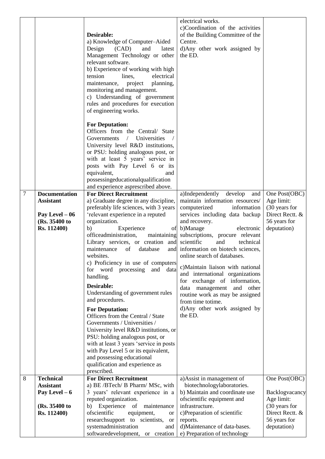|   |                                          |                                                                            | electrical works.<br>c)Coordination of the activities                |                              |
|---|------------------------------------------|----------------------------------------------------------------------------|----------------------------------------------------------------------|------------------------------|
|   |                                          | Desirable:<br>a) Knowledge of Computer-Aided                               | of the Building Committee of the<br>Centre.                          |                              |
|   |                                          | Design<br>(CAD)<br>and<br>latest                                           | d)Any other work assigned by                                         |                              |
|   |                                          | Management Technology or other                                             | the ED.                                                              |                              |
|   |                                          | relevant software.                                                         |                                                                      |                              |
|   |                                          | b) Experience of working with high                                         |                                                                      |                              |
|   |                                          | tension<br>electrical<br>lines,                                            |                                                                      |                              |
|   |                                          | maintenance,<br>project<br>planning,                                       |                                                                      |                              |
|   |                                          | monitoring and management.                                                 |                                                                      |                              |
|   |                                          | c) Understanding of government<br>rules and procedures for execution       |                                                                      |                              |
|   |                                          | of engineering works.                                                      |                                                                      |                              |
|   |                                          |                                                                            |                                                                      |                              |
|   |                                          | <b>For Deputation:</b>                                                     |                                                                      |                              |
|   |                                          | Officers from the Central/ State                                           |                                                                      |                              |
|   |                                          | Governments<br>/ Universities                                              |                                                                      |                              |
|   |                                          | University level R&D institutions,<br>or PSU: holding analogous post, or   |                                                                      |                              |
|   |                                          | with at least 5 years' service in                                          |                                                                      |                              |
|   |                                          | posts with Pay Level 6 or its                                              |                                                                      |                              |
|   |                                          | equivalent,<br>and                                                         |                                                                      |                              |
|   |                                          | possessingeducationalqualification                                         |                                                                      |                              |
|   |                                          | and experience asprescribed above.                                         |                                                                      |                              |
| 7 | <b>Documentation</b><br><b>Assistant</b> | <b>For Direct Recruitment</b><br>a) Graduate degree in any discipline,     | a)Independently<br>develop<br>and<br>maintain information resources/ | One Post(OBC)<br>Age limit:  |
|   |                                          | preferably life sciences, with 3 years                                     | computerized<br>information                                          | (30 years for                |
|   | Pay Level $-06$                          | 'relevant experience in a reputed                                          | services including data backup                                       | Direct Rectt. &              |
|   | (Rs. 35400 to                            | organization.                                                              | and recovery.                                                        | 56 years for                 |
|   | Rs. 112400)                              | Experience<br>b)                                                           | of b)Manage<br>electronic                                            | deputation)                  |
|   |                                          | officeadministration,<br>maintaining                                       | subscriptions, procure relevant                                      |                              |
|   |                                          | Library services, or creation and                                          | scientific<br>and<br>technical                                       |                              |
|   |                                          | maintenance<br>of<br>database<br>and<br>websites.                          | information on biotech sciences,<br>online search of databases.      |                              |
|   |                                          | c) Proficiency in use of computers                                         |                                                                      |                              |
|   |                                          | for word processing<br>and data                                            | c)Maintain liaison with national                                     |                              |
|   |                                          | handling.                                                                  | and international organizations                                      |                              |
|   |                                          | Desirable:                                                                 | for exchange of information,<br>and<br>management<br>other<br>data   |                              |
|   |                                          | Understanding of government rules                                          | routine work as may be assigned                                      |                              |
|   |                                          | and procedures.                                                            | from time totime.                                                    |                              |
|   |                                          | <b>For Deputation:</b>                                                     | d)Any other work assigned by                                         |                              |
|   |                                          | Officers from the Central / State                                          | the ED.                                                              |                              |
|   |                                          | Governments / Universities /                                               |                                                                      |                              |
|   |                                          | University level R&D institutions, or                                      |                                                                      |                              |
|   |                                          | PSU: holding analogous post, or<br>with at least 3 years 'service in posts |                                                                      |                              |
|   |                                          | with Pay Level 5 or its equivalent,                                        |                                                                      |                              |
|   |                                          | and possessing educational                                                 |                                                                      |                              |
|   |                                          | qualification and experience as                                            |                                                                      |                              |
|   |                                          | prescribed.                                                                |                                                                      |                              |
| 8 | <b>Technical</b>                         | <b>For Direct Recruitment</b>                                              | a) Assist in management of                                           | One Post(OBC)                |
|   | <b>Assistant</b>                         | a) BE /BTech/ B Pharm/ MSc, with                                           | biotechnologylaboratories.<br>b) Maintain and coordinate use         |                              |
|   | Pay Level $-6$                           | 3 years' relevant experience in a<br>reputed organization.                 | ofscientific equipment and                                           | Backlogvacancy<br>Age limit: |
|   | (Rs. 35400 to                            | Experience<br>of<br>maintenance<br>b)                                      | infrastructure.                                                      | (30 years for                |
|   | Rs. 112400)                              | ofscientific<br>equipment,<br>or                                           | c)Preparation of scientific                                          | Direct Rectt. &              |
|   |                                          | research support to scientists,<br><b>or</b>                               | reports.                                                             | 56 years for                 |
|   |                                          | systemadministration<br>and                                                | d)Maintenance of data-bases.                                         | deputation)                  |
|   |                                          | softwaredevelopment, or creation                                           | e) Preparation of technology                                         |                              |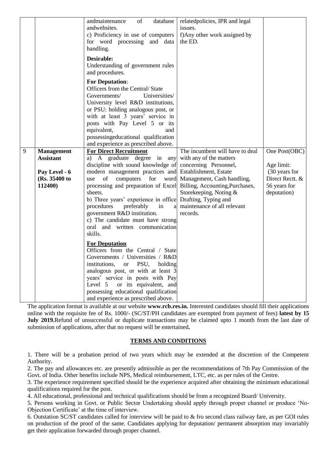|   |                   | of<br>database<br>andmaintenance<br>andwebsites.<br>c) Proficiency in use of computers                                                                                                                                                                                                                                                        | relatedpolicies, IPR and legal<br>issues.<br>f)Any other work assigned by |                             |
|---|-------------------|-----------------------------------------------------------------------------------------------------------------------------------------------------------------------------------------------------------------------------------------------------------------------------------------------------------------------------------------------|---------------------------------------------------------------------------|-----------------------------|
|   |                   | for word processing and data<br>handling.                                                                                                                                                                                                                                                                                                     | the ED.                                                                   |                             |
|   |                   | Desirable:<br>Understanding of government rules<br>and procedures.                                                                                                                                                                                                                                                                            |                                                                           |                             |
|   |                   | <b>For Deputation:</b><br>Officers from the Central/State<br>Governments/<br>Universities/<br>University level R&D institutions,<br>or PSU: holding analogous post, or<br>with at least 3 years' service in<br>posts with Pay Level 5 or its<br>equivalent,<br>and                                                                            |                                                                           |                             |
|   |                   | possessingeducational qualification<br>and experience as prescribed above.                                                                                                                                                                                                                                                                    |                                                                           |                             |
| 9 | <b>Management</b> | <b>For Direct Recruitment</b>                                                                                                                                                                                                                                                                                                                 | The incumbent will have to deal                                           | One Post(OBC)               |
|   | <b>Assistant</b>  | a) A graduate degree in<br>any                                                                                                                                                                                                                                                                                                                | with any of the matters                                                   |                             |
|   |                   | discipline with sound knowledge of                                                                                                                                                                                                                                                                                                            | concerning Personnel,                                                     | Age limit:                  |
|   | Pay Level - 6     | modern management practices and Establishment, Estate                                                                                                                                                                                                                                                                                         |                                                                           | (30 years for               |
|   | (Rs. 35400 to     | computers for<br>of<br>use                                                                                                                                                                                                                                                                                                                    | word Management, Cash handling,                                           | Direct Rectt. &             |
|   | 112400)           | processing and preparation of Excel<br>sheets.                                                                                                                                                                                                                                                                                                | Billing, Accounting, Purchases,                                           | 56 years for<br>deputation) |
|   |                   | b) Three years' experience in office                                                                                                                                                                                                                                                                                                          | Storekeeping, Noting &<br>Drafting, Typing and                            |                             |
|   |                   | procedures<br>preferably<br>in<br>a                                                                                                                                                                                                                                                                                                           | maintenance of all relevant                                               |                             |
|   |                   | government R&D institution.                                                                                                                                                                                                                                                                                                                   | records.                                                                  |                             |
|   |                   | c) The candidate must have strong                                                                                                                                                                                                                                                                                                             |                                                                           |                             |
|   |                   | oral and written communication<br>skills.                                                                                                                                                                                                                                                                                                     |                                                                           |                             |
|   |                   | <b>For Deputation</b><br>Officers from the Central / State<br>Governments / Universities / R&D<br>institutions,<br>PSU,<br><b>or</b><br>holding<br>analogous post, or with at least 3<br>years' service in posts with Pay<br>Level 5<br>or its equivalent, and<br>possessing educational qualification<br>and experience as prescribed above. |                                                                           |                             |

The application format is available at our website **www.rcb.res.in.** Interested candidates should fill their applications online with the requisite fee of Rs. 1000/- (SC/ST/PH candidates are exempted from payment of fees) **latest by 15 July 2019.**Refund of unsuccessful or duplicate transactions may be claimed upto 1 month from the last date of submission of applications, after that no request will be entertained**.** 

#### **TERMS AND CONDITIONS**

1. There will be a probation period of two years which may be extended at the discretion of the Competent Authority.

2. The pay and allowances etc. are presently admissible as per the recommendations of 7th Pay Commission of the Govt. of India. Other benefits include NPS, Medical reimbursement, LTC, etc. as per rules of the Centre.

3. The experience requirement specified should be the experience acquired after obtaining the minimum educational qualifications required for the post.

4. All educational, professional and technical qualifications should be from a recognized Board/ University.

5. Persons working in Govt. or Public Sector Undertaking should apply through proper channel or produce 'No-Objection Certificate' at the time of interview.

6. Outstation SC/ST candidates called for interview will be paid to & fro second class railway fare, as per GOI rules on production of the proof of the same. Candidates applying for deputation/ permanent absorption may invariably get their application forwarded through proper channel.